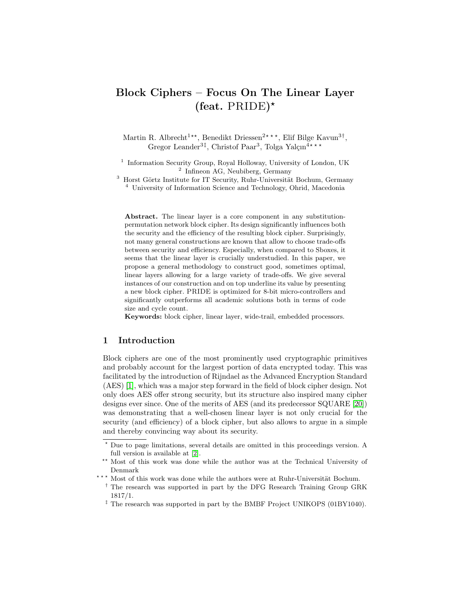# Block Ciphers – Focus On The Linear Layer (feat. PRIDE)\*

Martin R. Albrecht<sup>1\*\*</sup>, Benedikt Driessen<sup>2\*\*\*</sup>, Elif Bilge Kavun<sup>3†</sup>, Gregor Leander<sup>3‡</sup>, Christof Paar<sup>3</sup>, Tolga Yalçın<sup>4\*\*\*</sup>

<sup>1</sup> Information Security Group, Royal Holloway, University of London, UK <sup>2</sup> Infineon AG, Neubiberg, Germany

 $3$  Horst Görtz Institute for IT Security, Ruhr-Universität Bochum, Germany <sup>4</sup> University of Information Science and Technology, Ohrid, Macedonia

Abstract. The linear layer is a core component in any substitutionpermutation network block cipher. Its design significantly influences both the security and the efficiency of the resulting block cipher. Surprisingly, not many general constructions are known that allow to choose trade-offs between security and efficiency. Especially, when compared to Sboxes, it seems that the linear layer is crucially understudied. In this paper, we propose a general methodology to construct good, sometimes optimal, linear layers allowing for a large variety of trade-offs. We give several instances of our construction and on top underline its value by presenting a new block cipher. PRIDE is optimized for 8-bit micro-controllers and significantly outperforms all academic solutions both in terms of code size and cycle count.

Keywords: block cipher, linear layer, wide-trail, embedded processors.

# 1 Introduction

Block ciphers are one of the most prominently used cryptographic primitives and probably account for the largest portion of data encrypted today. This was facilitated by the introduction of Rijndael as the Advanced Encryption Standard (AES) [\[1\]](#page-17-0), which was a major step forward in the field of block cipher design. Not only does AES offer strong security, but its structure also inspired many cipher designs ever since. One of the merits of AES (and its predecessor SQUARE [\[20\]](#page-18-0)) was demonstrating that a well-chosen linear layer is not only crucial for the security (and efficiency) of a block cipher, but also allows to argue in a simple and thereby convincing way about its security.

<sup>?</sup> Due to page limitations, several details are omitted in this proceedings version. A full version is available at [\[2\]](#page-17-1).

<sup>\*\*</sup> Most of this work was done while the author was at the Technical University of Denmark

 $^{\star\;\star\;\star}$  Most of this work was done while the authors were at Ruhr-Universität Bochum.

<sup>†</sup> The research was supported in part by the DFG Research Training Group GRK 1817/1.

<sup>&</sup>lt;sup>‡</sup> The research was supported in part by the BMBF Project UNIKOPS (01BY1040).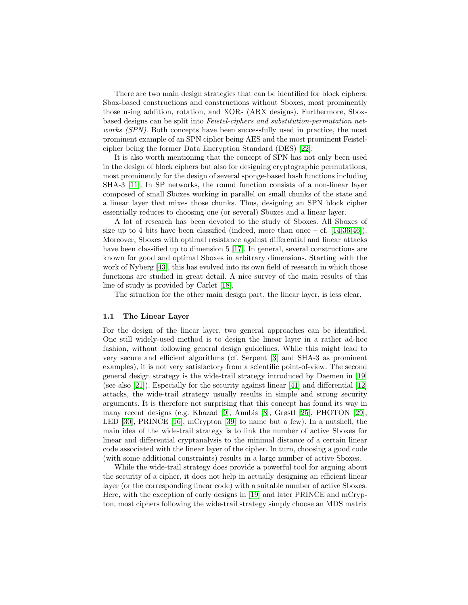There are two main design strategies that can be identified for block ciphers: Sbox-based constructions and constructions without Sboxes, most prominently those using addition, rotation, and XORs (ARX designs). Furthermore, Sboxbased designs can be split into Feistel-ciphers and substitution-permutation networks (SPN). Both concepts have been successfully used in practice, the most prominent example of an SPN cipher being AES and the most prominent Feistelcipher being the former Data Encryption Standard (DES) [\[22\]](#page-18-1).

It is also worth mentioning that the concept of SPN has not only been used in the design of block ciphers but also for designing cryptographic permutations, most prominently for the design of several sponge-based hash functions including SHA-3 [\[11\]](#page-17-2). In SP networks, the round function consists of a non-linear layer composed of small Sboxes working in parallel on small chunks of the state and a linear layer that mixes those chunks. Thus, designing an SPN block cipher essentially reduces to choosing one (or several) Sboxes and a linear layer.

A lot of research has been devoted to the study of Sboxes. All Sboxes of size up to 4 bits have been classified (indeed, more than once  $-$  cf.  $[14,36,46]$  $[14,36,46]$  $[14,36,46]$ ). Moreover, Sboxes with optimal resistance against differential and linear attacks have been classified up to dimension 5 [\[17\]](#page-18-2). In general, several constructions are known for good and optimal Sboxes in arbitrary dimensions. Starting with the work of Nyberg [\[43\]](#page-19-2), this has evolved into its own field of research in which those functions are studied in great detail. A nice survey of the main results of this line of study is provided by Carlet [\[18\]](#page-18-3).

The situation for the other main design part, the linear layer, is less clear.

#### 1.1 The Linear Layer

For the design of the linear layer, two general approaches can be identified. One still widely-used method is to design the linear layer in a rather ad-hoc fashion, without following general design guidelines. While this might lead to very secure and efficient algorithms (cf. Serpent [\[3\]](#page-17-4) and SHA-3 as prominent examples), it is not very satisfactory from a scientific point-of-view. The second general design strategy is the wide-trail strategy introduced by Daemen in [\[19\]](#page-18-4) (see also [\[21\]](#page-18-5)). Especially for the security against linear [\[41\]](#page-19-3) and differential [\[12\]](#page-17-5) attacks, the wide-trail strategy usually results in simple and strong security arguments. It is therefore not surprising that this concept has found its way in many recent designs (e.g. Khazad [\[9\]](#page-17-6), Anubis [\[8\]](#page-17-7), Grøstl [\[25\]](#page-18-6), PHOTON [\[29\]](#page-18-7), LED [\[30\]](#page-18-8), PRINCE [\[16\]](#page-17-8), mCrypton [\[39\]](#page-19-4) to name but a few). In a nutshell, the main idea of the wide-trail strategy is to link the number of active Sboxes for linear and differential cryptanalysis to the minimal distance of a certain linear code associated with the linear layer of the cipher. In turn, choosing a good code (with some additional constraints) results in a large number of active Sboxes.

While the wide-trail strategy does provide a powerful tool for arguing about the security of a cipher, it does not help in actually designing an efficient linear layer (or the corresponding linear code) with a suitable number of active Sboxes. Here, with the exception of early designs in [\[19\]](#page-18-4) and later PRINCE and mCrypton, most ciphers following the wide-trail strategy simply choose an MDS matrix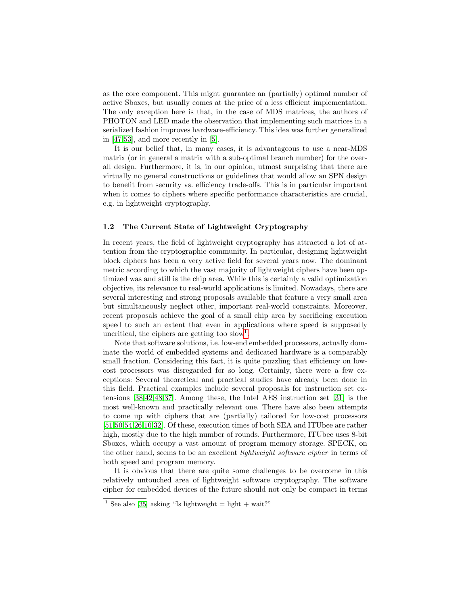as the core component. This might guarantee an (partially) optimal number of active Sboxes, but usually comes at the price of a less efficient implementation. The only exception here is that, in the case of MDS matrices, the authors of PHOTON and LED made the observation that implementing such matrices in a serialized fashion improves hardware-efficiency. This idea was further generalized in [\[47,](#page-19-5)[53\]](#page-19-6), and more recently in [\[5\]](#page-17-9).

It is our belief that, in many cases, it is advantageous to use a near-MDS matrix (or in general a matrix with a sub-optimal branch number) for the overall design. Furthermore, it is, in our opinion, utmost surprising that there are virtually no general constructions or guidelines that would allow an SPN design to benefit from security vs. efficiency trade-offs. This is in particular important when it comes to ciphers where specific performance characteristics are crucial, e.g. in lightweight cryptography.

### 1.2 The Current State of Lightweight Cryptography

In recent years, the field of lightweight cryptography has attracted a lot of attention from the cryptographic community. In particular, designing lightweight block ciphers has been a very active field for several years now. The dominant metric according to which the vast majority of lightweight ciphers have been optimized was and still is the chip area. While this is certainly a valid optimization objective, its relevance to real-world applications is limited. Nowadays, there are several interesting and strong proposals available that feature a very small area but simultaneously neglect other, important real-world constraints. Moreover, recent proposals achieve the goal of a small chip area by sacrificing execution speed to such an extent that even in applications where speed is supposedly uncritical, the ciphers are getting too slow<sup>[1](#page-2-0)</sup>.

Note that software solutions, i.e. low-end embedded processors, actually dominate the world of embedded systems and dedicated hardware is a comparably small fraction. Considering this fact, it is quite puzzling that efficiency on lowcost processors was disregarded for so long. Certainly, there were a few exceptions: Several theoretical and practical studies have already been done in this field. Practical examples include several proposals for instruction set extensions [\[38,](#page-19-7)[42](#page-19-8)[,48](#page-19-9)[,37\]](#page-19-10). Among these, the Intel AES instruction set [\[31\]](#page-18-9) is the most well-known and practically relevant one. There have also been attempts to come up with ciphers that are (partially) tailored for low-cost processors [\[51](#page-19-11)[,50](#page-19-12)[,54,](#page-19-13)[26](#page-18-10)[,10](#page-17-10)[,32\]](#page-18-11). Of these, execution times of both SEA and ITUbee are rather high, mostly due to the high number of rounds. Furthermore, ITUbee uses 8-bit Sboxes, which occupy a vast amount of program memory storage. SPECK, on the other hand, seems to be an excellent lightweight software cipher in terms of both speed and program memory.

It is obvious that there are quite some challenges to be overcome in this relatively untouched area of lightweight software cryptography. The software cipher for embedded devices of the future should not only be compact in terms

<span id="page-2-0"></span><sup>&</sup>lt;sup>1</sup> See also [\[35\]](#page-18-12) asking "Is lightweight = light + wait?"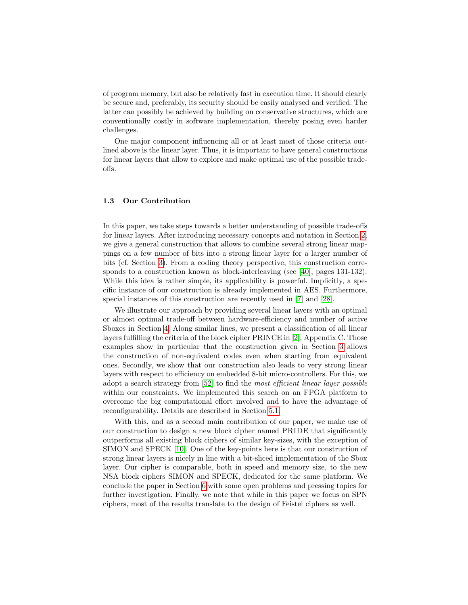of program memory, but also be relatively fast in execution time. It should clearly be secure and, preferably, its security should be easily analysed and verified. The latter can possibly be achieved by building on conservative structures, which are conventionally costly in software implementation, thereby posing even harder challenges.

One major component influencing all or at least most of those criteria outlined above is the linear layer. Thus, it is important to have general constructions for linear layers that allow to explore and make optimal use of the possible tradeoffs.

### 1.3 Our Contribution

In this paper, we take steps towards a better understanding of possible trade-offs for linear layers. After introducing necessary concepts and notation in Section [2,](#page-4-0) we give a general construction that allows to combine several strong linear mappings on a few number of bits into a strong linear layer for a larger number of bits (cf. Section [3\)](#page-5-0). From a coding theory perspective, this construction corresponds to a construction known as block-interleaving (see [\[40\]](#page-19-14), pages 131-132). While this idea is rather simple, its applicability is powerful. Implicitly, a specific instance of our construction is already implemented in AES. Furthermore, special instances of this construction are recently used in [\[7\]](#page-17-11) and [\[28\]](#page-18-13).

We illustrate our approach by providing several linear layers with an optimal or almost optimal trade-off between hardware-efficiency and number of active Sboxes in Section [4.](#page-8-0) Along similar lines, we present a classification of all linear layers fulfilling the criteria of the block cipher PRINCE in [\[2\]](#page-17-1), Appendix C. Those examples show in particular that the construction given in Section [3](#page-5-0) allows the construction of non-equivalent codes even when starting from equivalent ones. Secondly, we show that our construction also leads to very strong linear layers with respect to efficiency on embedded 8-bit micro-controllers. For this, we adopt a search strategy from [\[52\]](#page-19-15) to find the most efficient linear layer possible within our constraints. We implemented this search on an FPGA platform to overcome the big computational effort involved and to have the advantage of reconfigurability. Details are described in Section [5.1.](#page-11-0)

With this, and as a second main contribution of our paper, we make use of our construction to design a new block cipher named PRIDE that significantly outperforms all existing block ciphers of similar key-sizes, with the exception of SIMON and SPECK [\[10\]](#page-17-10). One of the key-points here is that our construction of strong linear layers is nicely in line with a bit-sliced implementation of the Sbox layer. Our cipher is comparable, both in speed and memory size, to the new NSA block ciphers SIMON and SPECK, dedicated for the same platform. We conclude the paper in Section [6](#page-16-0) with some open problems and pressing topics for further investigation. Finally, we note that while in this paper we focus on SPN ciphers, most of the results translate to the design of Feistel ciphers as well.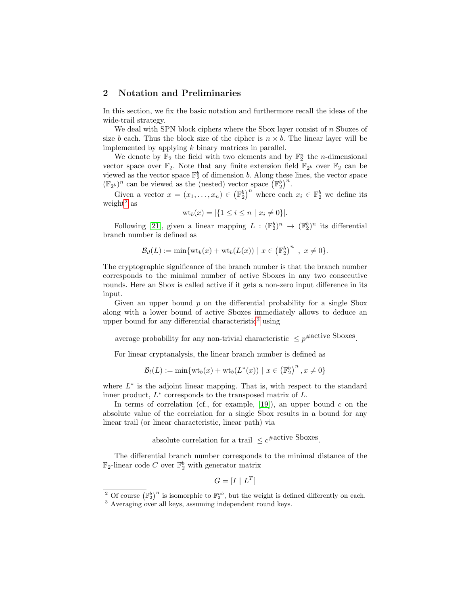# <span id="page-4-0"></span>2 Notation and Preliminaries

In this section, we fix the basic notation and furthermore recall the ideas of the wide-trail strategy.

We deal with SPN block ciphers where the Sbox layer consist of  $n$  Sboxes of size b each. Thus the block size of the cipher is  $n \times b$ . The linear layer will be implemented by applying k binary matrices in parallel.

We denote by  $\mathbb{F}_2$  the field with two elements and by  $\mathbb{F}_2^n$  the *n*-dimensional vector space over  $\mathbb{F}_2$ . Note that any finite extension field  $\mathbb{F}_{2^b}$  over  $\mathbb{F}_2$  can be viewed as the vector space  $\mathbb{F}_2^b$  of dimension b. Along these lines, the vector space  $(\mathbb{F}_{2^b})^n$  can be viewed as the (nested) vector space  $(\mathbb{F}_2^b)^n$ .

Given a vector  $x = (x_1, \ldots, x_n) \in (\mathbb{F}_2^b)^n$  where each  $x_i \in \mathbb{F}_2^b$  we define its weight<sup>[2](#page-4-1)</sup> as

$$
\text{wt}_b(x) = |\{1 \le i \le n \mid x_i \ne 0\}|.
$$

Following [\[21\]](#page-18-5), given a linear mapping  $L : (\mathbb{F}_2^b)^n \to (\mathbb{F}_2^b)^n$  its differential branch number is defined as

$$
\mathcal{B}_d(L) := \min \{ \text{wt}_b(x) + \text{wt}_b(L(x)) \mid x \in (\mathbb{F}_2^b)^n , x \neq 0 \}.
$$

The cryptographic significance of the branch number is that the branch number corresponds to the minimal number of active Sboxes in any two consecutive rounds. Here an Sbox is called active if it gets a non-zero input difference in its input.

Given an upper bound  $p$  on the differential probability for a single Sbox along with a lower bound of active Sboxes immediately allows to deduce an upper bound for any differential characteristic<sup>[3](#page-4-2)</sup> using

average probability for any non-trivial characteristic  $\leq p^{\# \text{active Stokes}}$ .

For linear cryptanalysis, the linear branch number is defined as

$$
\mathcal{B}_l(L) := \min \{ \text{wt}_b(x) + \text{wt}_b(L^*(x)) \mid x \in (\mathbb{F}_2^b)^n, x \neq 0 \}
$$

where  $L^*$  is the adjoint linear mapping. That is, with respect to the standard inner product,  $L^*$  corresponds to the transposed matrix of  $L$ .

In terms of correlation (cf., for example, [\[19\]](#page-18-4)), an upper bound  $c$  on the absolute value of the correlation for a single Sbox results in a bound for any linear trail (or linear characteristic, linear path) via

absolute correlation for a trail  $\leq c^{\#\text{active Stokes}}$ .

The differential branch number corresponds to the minimal distance of the  $\mathbb{F}_2$ -linear code C over  $\mathbb{F}_2^b$  with generator matrix

$$
G = [I \mid L^T]
$$

<span id="page-4-1"></span><sup>&</sup>lt;sup>2</sup> Of course  $(\mathbb{F}_2^b)^n$  is isomorphic to  $\mathbb{F}_2^{nb}$ , but the weight is defined differently on each.

<span id="page-4-2"></span><sup>&</sup>lt;sup>3</sup> Averaging over all keys, assuming independent round keys.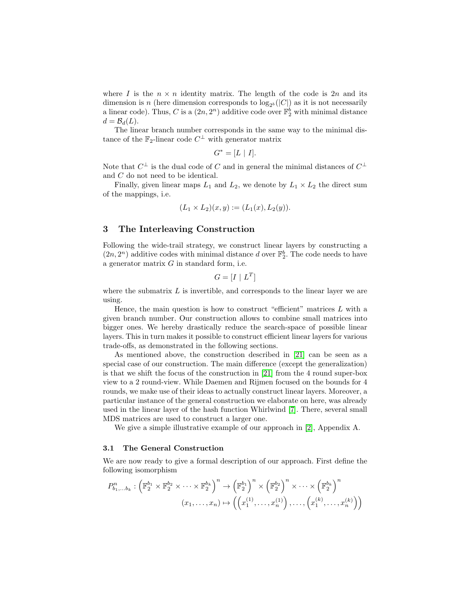where I is the  $n \times n$  identity matrix. The length of the code is 2n and its dimension is n (here dimension corresponds to  $log_{2^b}(|C|)$  as it is not necessarily a linear code). Thus, C is a  $(2n, 2<sup>n</sup>)$  additive code over  $\mathbb{F}_2^b$  with minimal distance  $d = \mathcal{B}_d(L)$ .

The linear branch number corresponds in the same way to the minimal distance of the  $\mathbb{F}_2$ -linear code  $C^{\perp}$  with generator matrix

$$
G^* = [L | I].
$$

Note that  $C^{\perp}$  is the dual code of C and in general the minimal distances of  $C^{\perp}$ and  $C$  do not need to be identical.

Finally, given linear maps  $L_1$  and  $L_2$ , we denote by  $L_1 \times L_2$  the direct sum of the mappings, i.e.

$$
(L_1 \times L_2)(x, y) := (L_1(x), L_2(y)).
$$

### <span id="page-5-0"></span>3 The Interleaving Construction

Following the wide-trail strategy, we construct linear layers by constructing a  $(2n, 2<sup>n</sup>)$  additive codes with minimal distance d over  $\mathbb{F}_2^b$ . The code needs to have a generator matrix  $G$  in standard form, i.e.

$$
G = [I \mid L^T]
$$

where the submatrix  $L$  is invertible, and corresponds to the linear layer we are using.

Hence, the main question is how to construct "efficient" matrices  $L$  with a given branch number. Our construction allows to combine small matrices into bigger ones. We hereby drastically reduce the search-space of possible linear layers. This in turn makes it possible to construct efficient linear layers for various trade-offs, as demonstrated in the following sections.

As mentioned above, the construction described in [\[21\]](#page-18-5) can be seen as a special case of our construction. The main difference (except the generalization) is that we shift the focus of the construction in [\[21\]](#page-18-5) from the 4 round super-box view to a 2 round-view. While Daemen and Rijmen focused on the bounds for 4 rounds, we make use of their ideas to actually construct linear layers. Moreover, a particular instance of the general construction we elaborate on here, was already used in the linear layer of the hash function Whirlwind [\[7\]](#page-17-11). There, several small MDS matrices are used to construct a larger one.

We give a simple illustrative example of our approach in [\[2\]](#page-17-1), Appendix A.

### 3.1 The General Construction

We are now ready to give a formal description of our approach. First define the following isomorphism

$$
P_{b_1,\ldots,b_k}^n: \left(\mathbb{F}_2^{b_1} \times \mathbb{F}_2^{b_2} \times \cdots \times \mathbb{F}_2^{b_k}\right)^n \to \left(\mathbb{F}_2^{b_1}\right)^n \times \left(\mathbb{F}_2^{b_2}\right)^n \times \cdots \times \left(\mathbb{F}_2^{b_k}\right)^n
$$

$$
(x_1,\ldots,x_n) \mapsto \left(\left(x_1^{(1)},\ldots,x_n^{(1)}\right),\ldots,\left(x_1^{(k)},\ldots,x_n^{(k)}\right)\right)
$$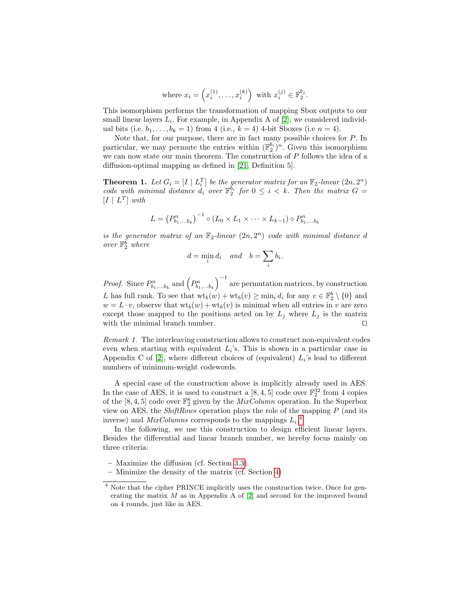where 
$$
x_i = (x_i^{(1)}, \dots, x_i^{(k)})
$$
 with  $x_i^{(j)} \in \mathbb{F}_2^{b_j}$ .

This isomorphism performs the transformation of mapping Sbox outputs to our small linear layers  $L_i$ . For example, in Appendix A of  $[2]$ , we considered individual bits (i.e.  $b_1, ..., b_k = 1$ ) from 4 (i.e.,  $k = 4$ ) 4-bit Sboxes (i.e  $n = 4$ ).

Note that, for our purpose, there are in fact many possible choices for P. In particular, we may permute the entries within  $(\mathbb{F}_2^{b_i})^n$ . Given this isomorphism we can now state our main theorem. The construction of P follows the idea of a diffusion-optimal mapping as defined in [\[21,](#page-18-5) Definition 5].

<span id="page-6-1"></span>**Theorem 1.** Let  $G_i = [I \mid L_i^T]$  be the generator matrix for an  $\mathbb{F}_2$ -linear  $(2n, 2^n)$ code with minimal distance  $d_i$  over  $\mathbb{F}_2^{b_i}$  for  $0 \leq i \leq k$ . Then the matrix  $G =$  $[I \mid L^T]$  with

$$
L = (P_{b_1,\ldots,b_k}^n)^{-1} \circ (L_0 \times L_1 \times \cdots \times L_{k-1}) \circ P_{b_1,\ldots,b_k}^n
$$

is the generator matrix of an  $\mathbb{F}_2$ -linear  $(2n, 2^n)$  code with minimal distance d over  $\mathbb{F}_2^{\overline{b}}$  where

$$
d = \min_i d_i \quad and \quad b = \sum_i b_i.
$$

*Proof.* Since  $P_{b_1,...b_k}^n$  and  $(P_{b_1,...b_k}^n)^{-1}$  are permutation matrices, by construction L has full rank. To see that  $\operatorname{wt}_b(w) + \operatorname{wt}_b(v) \ge \min_i d_i$  for any  $v \in \mathbb{F}_2^b \setminus \{0\}$  and  $w = L \cdot v$ , observe that  $\operatorname{wt}_b(w) + \operatorname{wt}_b(v)$  is minimal when all entries in v are zero except those mapped to the positions acted on by  $L_j$  where  $L_j$  is the matrix with the minimal branch number.  $\Box$ 

Remark 1. The interleaving construction allows to construct non-equivalent codes even when starting with equivalent  $L_i$ 's. This is shown in a particular case in Appendix C of  $[2]$ , where different choices of (equivalent)  $L_i$ 's lead to different numbers of minimum-weight codewords.

A special case of the construction above is implicitly already used in AES. In the case of AES, it is used to construct a  $[8, 4, 5]$  code over  $\mathbb{F}_2^{32}$  from 4 copies of the [8, 4, 5] code over  $\mathbb{F}_2^8$  given by the  $MixColumn$  operation. In the Superbox view on AES, the *ShiftRows* operation plays the role of the mapping  $P$  (and its inverse) and  $MixColumns$  corresponds to the mappings  $L_i$ .<sup>[4](#page-6-0)</sup>

In the following, we use this construction to design efficient linear layers. Besides the differential and linear branch number, we hereby focus mainly on three criteria:

- Maximize the diffusion (cf. Section [3.3\)](#page-7-0)
- Minimize the density of the matrix (cf. Section [4\)](#page-8-0)

<span id="page-6-0"></span><sup>&</sup>lt;sup>4</sup> Note that the cipher PRINCE implicitly uses the construction twice. Once for generating the matrix M as in Appendix A of [\[2\]](#page-17-1) and second for the improved bound on 4 rounds, just like in AES.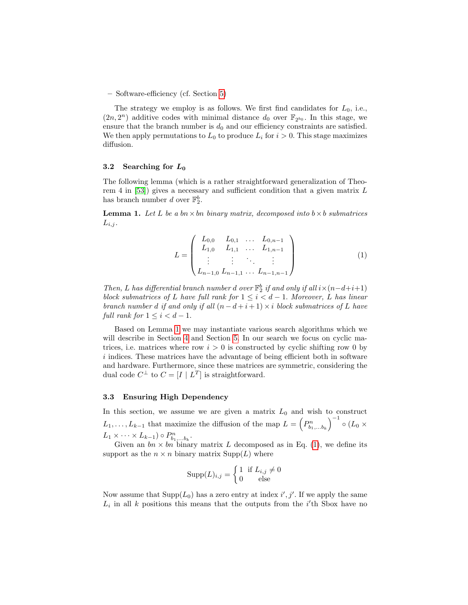– Software-efficiency (cf. Section [5\)](#page-10-0)

The strategy we employ is as follows. We first find candidates for  $L_0$ , i.e.,  $(2n, 2<sup>n</sup>)$  additive codes with minimal distance  $d_0$  over  $\mathbb{F}_{2^{b_0}}$ . In this stage, we ensure that the branch number is  $d_0$  and our efficiency constraints are satisfied. We then apply permutations to  $L_0$  to produce  $L_i$  for  $i > 0$ . This stage maximizes diffusion.

### 3.2 Searching for  $L_0$

The following lemma (which is a rather straightforward generalization of Theorem 4 in  $[53]$ ) gives a necessary and sufficient condition that a given matrix L has branch number d over  $\mathbb{F}_2^b$ .

**Lemma 1.** Let L be a bn  $\times$  bn binary matrix, decomposed into  $b \times b$  submatrices  $L_{i,j}$ .

<span id="page-7-2"></span><span id="page-7-1"></span>
$$
L = \begin{pmatrix} L_{0,0} & L_{0,1} & \dots & L_{0,n-1} \\ L_{1,0} & L_{1,1} & \dots & L_{1,n-1} \\ \vdots & \vdots & \ddots & \vdots \\ L_{n-1,0} & L_{n-1,1} & \dots & L_{n-1,n-1} \end{pmatrix}
$$
 (1)

 $Then, \ L \ has \ differential \ branch \ number \ d \ over \ \mathbb{F}_2^b \ if \ and \ only \ if \ all \ i \times (n-d+i+1)$ block submatrices of L have full rank for  $1 \leq i < d-1$ . Moreover, L has linear branch number d if and only if all  $(n - d + i + 1) \times i$  block submatrices of L have full rank for  $1 \leq i < d-1$ .

Based on Lemma [1](#page-7-1) we may instantiate various search algorithms which we will describe in Section [4](#page-8-0) and Section [5.](#page-10-0) In our search we focus on cyclic matrices, i.e. matrices where row  $i > 0$  is constructed by cyclic shifting row 0 by i indices. These matrices have the advantage of being efficient both in software and hardware. Furthermore, since these matrices are symmetric, considering the dual code  $C^{\perp}$  to  $C = [I \mid L^T]$  is straightforward.

#### <span id="page-7-0"></span>3.3 Ensuring High Dependency

In this section, we assume we are given a matrix  $L_0$  and wish to construct  $L_1, \ldots, L_{k-1}$  that maximize the diffusion of the map  $L = \left(P_{b_1,\ldots b_k}^n\right)^{-1} \circ (L_0 \times$  $L_1 \times \cdots \times L_{k-1}$ )  $\circ P_{b_1,\ldots b_k}^n$ .

Given an  $bn \times bn$  binary matrix L decomposed as in Eq. [\(1\)](#page-7-2), we define its support as the  $n \times n$  binary matrix  $\text{Supp}(L)$  where

$$
Supp(L)_{i,j} = \begin{cases} 1 & \text{if } L_{i,j} \neq 0\\ 0 & \text{else} \end{cases}
$$

Now assume that  $\text{Supp}(L_0)$  has a zero entry at index i', j'. If we apply the same  $L_i$  in all k positions this means that the outputs from the i'th Sbox have no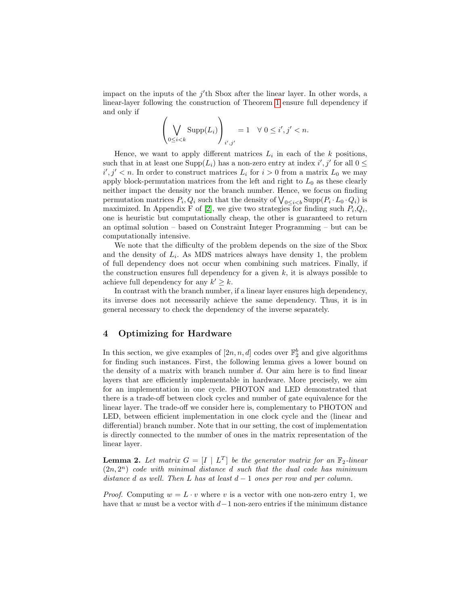impact on the inputs of the  $j'$ th Sbox after the linear layer. In other words, a linear-layer following the construction of Theorem [1](#page-6-1) ensure full dependency if and only if

$$
\left(\bigvee_{0\leq i< k} \text{Supp}(L_i)\right)_{i',j'} = 1 \quad \forall \ 0 \leq i', j' < n.
$$

Hence, we want to apply different matrices  $L_i$  in each of the k positions, such that in at least one  $\text{Supp}(L_i)$  has a non-zero entry at index  $i', j'$  for all  $0 \leq$  $i', j' < n$ . In order to construct matrices  $L_i$  for  $i > 0$  from a matrix  $L_0$  we may apply block-permutation matrices from the left and right to  $L_0$  as these clearly neither impact the density nor the branch number. Hence, we focus on finding permutation matrices  $P_i, Q_i$  such that the density of  $\bigvee_{0 \leq i < b} \text{Supp}(P_i \cdot L_0 \cdot Q_i)$  is maximized. In Appendix F of [\[2\]](#page-17-1), we give two strategies for finding such  $P_i, Q_i$ , one is heuristic but computationally cheap, the other is guaranteed to return an optimal solution – based on Constraint Integer Programming – but can be computationally intensive.

We note that the difficulty of the problem depends on the size of the Sbox and the density of  $L_i$ . As MDS matrices always have density 1, the problem of full dependency does not occur when combining such matrices. Finally, if the construction ensures full dependency for a given  $k$ , it is always possible to achieve full dependency for any  $k' \geq k$ .

In contrast with the branch number, if a linear layer ensures high dependency, its inverse does not necessarily achieve the same dependency. Thus, it is in general necessary to check the dependency of the inverse separately.

# <span id="page-8-0"></span>4 Optimizing for Hardware

In this section, we give examples of  $[2n, n, d]$  codes over  $\mathbb{F}_2^b$  and give algorithms for finding such instances. First, the following lemma gives a lower bound on the density of a matrix with branch number  $d$ . Our aim here is to find linear layers that are efficiently implementable in hardware. More precisely, we aim for an implementation in one cycle. PHOTON and LED demonstrated that there is a trade-off between clock cycles and number of gate equivalence for the linear layer. The trade-off we consider here is, complementary to PHOTON and LED, between efficient implementation in one clock cycle and the (linear and differential) branch number. Note that in our setting, the cost of implementation is directly connected to the number of ones in the matrix representation of the linear layer.

<span id="page-8-1"></span>**Lemma 2.** Let matrix  $G = [I \mid L^T]$  be the generator matrix for an  $\mathbb{F}_2$ -linear  $(2n, 2<sup>n</sup>)$  code with minimal distance d such that the dual code has minimum distance d as well. Then L has at least  $d-1$  ones per row and per column.

*Proof.* Computing  $w = L \cdot v$  where v is a vector with one non-zero entry 1, we have that w must be a vector with  $d-1$  non-zero entries if the minimum distance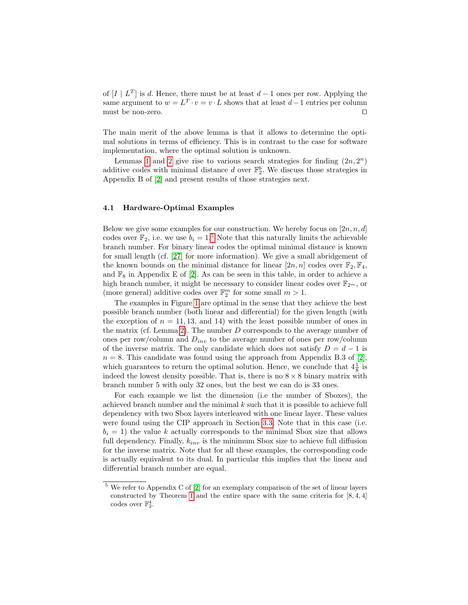of  $[I | L^T]$  is d. Hence, there must be at least  $d-1$  ones per row. Applying the same argument to  $w = L^T \cdot v = v \cdot L$  shows that at least  $d-1$  entries per column must be non-zero.  $\Box$ 

The main merit of the above lemma is that it allows to determine the optimal solutions in terms of efficiency. This is in contrast to the case for software implementation, where the optimal solution is unknown.

Lemmas [1](#page-7-1) and [2](#page-8-1) give rise to various search strategies for finding  $(2n, 2<sup>n</sup>)$ additive codes with minimal distance d over  $\mathbb{F}_2^b$ . We discuss those strategies in Appendix B of [\[2\]](#page-17-1) and present results of those strategies next.

### 4.1 Hardware-Optimal Examples

Below we give some examples for our construction. We hereby focus on  $[2n, n, d]$ codes over  $\mathbb{F}_2$ , i.e. we use  $b_i = 1.5$  $b_i = 1.5$  Note that this naturally limits the achievable branch number. For binary linear codes the optimal minimal distance is known for small length (cf. [\[27\]](#page-18-14) for more information). We give a small abridgement of the known bounds on the minimal distance for linear  $[2n, n]$  codes over  $\mathbb{F}_2, \mathbb{F}_4$ , and  $\mathbb{F}_8$  in Appendix E of [\[2\]](#page-17-1). As can be seen in this table, in order to achieve a high branch number, it might be necessary to consider linear codes over  $\mathbb{F}_{2^m}$ , or (more general) additive codes over  $\mathbb{F}_2^m$  for some small  $m > 1$ .

The examples in Figure [1](#page-10-1) are optimal in the sense that they achieve the best possible branch number (both linear and differential) for the given length (with the exception of  $n = 11, 13$ , and 14) with the least possible number of ones in the matrix (cf. Lemma [2\)](#page-8-1). The number D corresponds to the average number of ones per row/column and  $D_{inv}$  to the average number of ones per row/column of the inverse matrix. The only candidate which does not satisfy  $D = d - 1$  is  $n = 8$ . This candidate was found using the approach from Appendix B.3 of [\[2\]](#page-17-1), which guarantees to return the optimal solution. Hence, we conclude that  $4\frac{1}{8}$  is indeed the lowest density possible. That is, there is no  $8 \times 8$  binary matrix with branch number 5 with only 32 ones, but the best we can do is 33 ones.

For each example we list the dimension (i.e the number of Sboxes), the achieved branch number and the minimal  $k$  such that it is possible to achieve full dependency with two Sbox layers interleaved with one linear layer. These values were found using the CIP approach in Section [3.3.](#page-7-0) Note that in this case (i.e.  $b_i = 1$ ) the value k actually corresponds to the minimal Sbox size that allows full dependency. Finally,  $k_{inv}$  is the minimum Sbox size to achieve full diffusion for the inverse matrix. Note that for all these examples, the corresponding code is actually equivalent to its dual. In particular this implies that the linear and differential branch number are equal.

<span id="page-9-0"></span><sup>5</sup> We refer to Appendix C of [\[2\]](#page-17-1) for an exemplary comparison of the set of linear layers constructed by Theorem [1](#page-6-1) and the entire space with the same criteria for [8, 4, 4] codes over  $\mathbb{F}_2^4$ .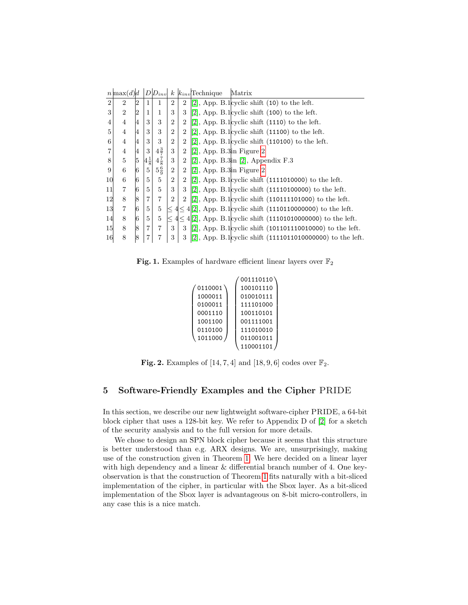|                | $n \max(d) d$  |   |                | $D D_{inv} $   |                |                | $k \nvert k_{inv}$ Technique<br>Matrix                                   |  |
|----------------|----------------|---|----------------|----------------|----------------|----------------|--------------------------------------------------------------------------|--|
| $\overline{2}$ | $\overline{2}$ | 2 |                | 1              | $\overline{2}$ | $\overline{2}$ | $[2]$ , App. B.1 cyclic shift (10) to the left.                          |  |
| 3              | $\overline{2}$ | 2 | 1              | 1              | 3              | 3              | $[2]$ , App. B.1 cyclic shift (100) to the left.                         |  |
| 4              | 4              | 4 | 3              | 3              | $\overline{2}$ | 2              | $[2]$ , App. B.1 cyclic shift (1110) to the left.                        |  |
| 5              | $\overline{4}$ | 4 | 3              | 3              | 2              | $^{2}$         | $[2]$ , App. B.1 cyclic shift (11100) to the left.                       |  |
| 6              | 4              | 4 | 3              | 3              | $\overline{2}$ | $^{2}$         | $[2]$ , App. B.1 cyclic shift (110100) to the left.                      |  |
| 7              | 4              | 4 | 3              | $4\frac{3}{7}$ | 3              |                | $2$ [2], App. B.3 in Figure 2                                            |  |
| 8              | 5              | 5 | $4\frac{1}{8}$ | $4\frac{7}{8}$ | 3              |                | 2 [2], App. B.3 $\text{in}$ [2], Appendix F.3                            |  |
| 9              | 6              | 6 | $\overline{5}$ | $5\frac{6}{9}$ | $\overline{2}$ |                | $2$ [2], App. B.3 in Figure 2                                            |  |
| 10             | 6              | 6 | $\overline{5}$ | 5              | $\overline{2}$ |                | 2 $[2]$ , App. B.1 cyclic shift (1111010000) to the left.                |  |
| 11             | $\overline{7}$ | 6 | 5              | 5              | 3              | 3              | $[2]$ , App. B.1 cyclic shift (11110100000) to the left.                 |  |
| 12             | 8              | 8 | $\overline{7}$ | $\overline{7}$ | 2              | $\overline{2}$ | $[2]$ , App. B.1 cyclic shift (110111101000) to the left.                |  |
| 13             | $\overline{7}$ | 6 | 5              | 5              |                |                | $\leq 4 \leq 4$ [2], App. B.1 cyclic shift (1110110000000) to the left.  |  |
| 14             | 8              | 6 | 5              | 5              |                |                | $\leq 4 \leq 4$ [2], App. B.1 cyclic shift (11101010000000) to the left. |  |
| 15             | 8              | 8 | $\overline{7}$ | $\overline{7}$ | 3              | $3^{-}$        | $[2]$ , App. B.1 cyclic shift (101101110010000) to the left.             |  |
| 16             | 8              |   |                | $\overline{7}$ | 3              | 3              | [2], App. B.1 $\text{cyclic shift}$ (1111011010000000) to the left.      |  |

<span id="page-10-1"></span>Fig. 1. Examples of hardware efficient linear layers over  $\mathbb{F}_2$ 

|         | 001110110 |  |  |  |  |
|---------|-----------|--|--|--|--|
| 0110001 | 100101110 |  |  |  |  |
| 1000011 | 010010111 |  |  |  |  |
| 0100011 | 111101000 |  |  |  |  |
| 0001110 | 100110101 |  |  |  |  |
| 1001100 | 001111001 |  |  |  |  |
| 0110100 | 111010010 |  |  |  |  |
| 1011000 | 011001011 |  |  |  |  |
|         | 110001101 |  |  |  |  |

<span id="page-10-2"></span>**Fig. 2.** Examples of [14, 7, 4] and [18, 9, 6] codes over  $\mathbb{F}_2$ .

# <span id="page-10-0"></span>5 Software-Friendly Examples and the Cipher PRIDE

In this section, we describe our new lightweight software-cipher PRIDE, a 64-bit block cipher that uses a 128-bit key. We refer to Appendix D of [\[2\]](#page-17-1) for a sketch of the security analysis and to the full version for more details.

We chose to design an SPN block cipher because it seems that this structure is better understood than e.g. ARX designs. We are, unsurprisingly, making use of the construction given in Theorem [1.](#page-6-1) We here decided on a linear layer with high dependency and a linear & differential branch number of 4. One keyobservation is that the construction of Theorem [1](#page-6-1) fits naturally with a bit-sliced implementation of the cipher, in particular with the Sbox layer. As a bit-sliced implementation of the Sbox layer is advantageous on 8-bit micro-controllers, in any case this is a nice match.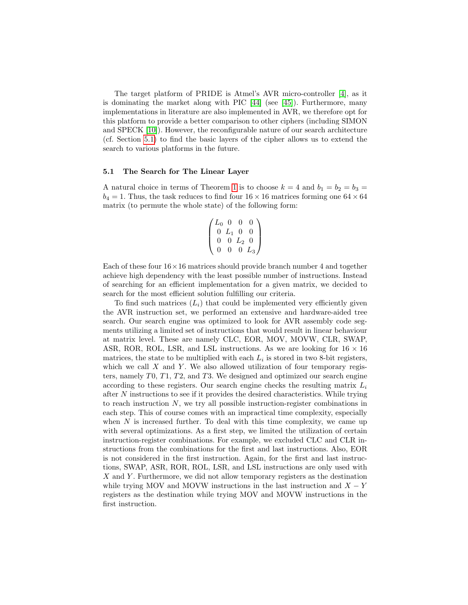The target platform of PRIDE is Atmel's AVR micro-controller [\[4\]](#page-17-12), as it is dominating the market along with PIC  $[44]$  (see  $[45]$ ). Furthermore, many implementations in literature are also implemented in AVR, we therefore opt for this platform to provide a better comparison to other ciphers (including SIMON and SPECK [\[10\]](#page-17-10)). However, the reconfigurable nature of our search architecture (cf. Section [5.1\)](#page-11-0) to find the basic layers of the cipher allows us to extend the search to various platforms in the future.

#### <span id="page-11-0"></span>5.1 The Search for The Linear Layer

A natural choice in terms of Theorem [1](#page-6-1) is to choose  $k = 4$  and  $b_1 = b_2 = b_3 =$  $b_4 = 1$ . Thus, the task reduces to find four  $16 \times 16$  matrices forming one  $64 \times 64$ matrix (to permute the whole state) of the following form:

$$
\left(\begin{array}{cccc}L_0 & 0 & 0 & 0 \\0 & L_1 & 0 & 0 \\0 & 0 & L_2 & 0 \\0 & 0 & 0 & L_3\end{array}\right)
$$

Each of these four  $16 \times 16$  matrices should provide branch number 4 and together achieve high dependency with the least possible number of instructions. Instead of searching for an efficient implementation for a given matrix, we decided to search for the most efficient solution fulfilling our criteria.

To find such matrices  $(L_i)$  that could be implemented very efficiently given the AVR instruction set, we performed an extensive and hardware-aided tree search. Our search engine was optimized to look for AVR assembly code segments utilizing a limited set of instructions that would result in linear behaviour at matrix level. These are namely CLC, EOR, MOV, MOVW, CLR, SWAP, ASR, ROR, ROL, LSR, and LSL instructions. As we are looking for  $16 \times 16$ matrices, the state to be multiplied with each  $L_i$  is stored in two 8-bit registers, which we call  $X$  and  $Y$ . We also allowed utilization of four temporary registers, namely T0, T1, T2, and T3. We designed and optimized our search engine according to these registers. Our search engine checks the resulting matrix  $L_i$ after N instructions to see if it provides the desired characteristics. While trying to reach instruction  $N$ , we try all possible instruction-register combinations in each step. This of course comes with an impractical time complexity, especially when  $N$  is increased further. To deal with this time complexity, we came up with several optimizations. As a first step, we limited the utilization of certain instruction-register combinations. For example, we excluded CLC and CLR instructions from the combinations for the first and last instructions. Also, EOR is not considered in the first instruction. Again, for the first and last instructions, SWAP, ASR, ROR, ROL, LSR, and LSL instructions are only used with  $X$  and  $Y$ . Furthermore, we did not allow temporary registers as the destination while trying MOV and MOVW instructions in the last instruction and  $X - Y$ registers as the destination while trying MOV and MOVW instructions in the first instruction.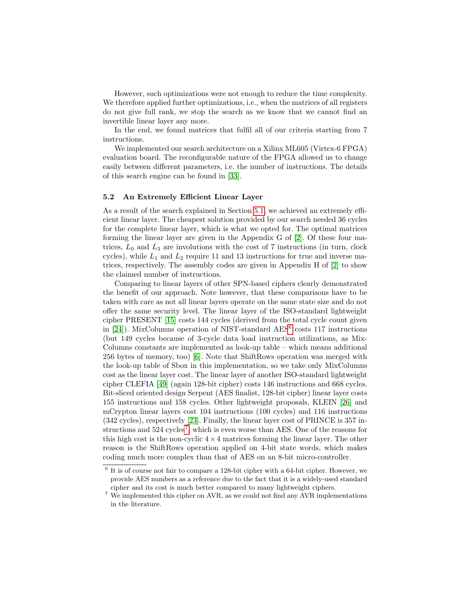However, such optimizations were not enough to reduce the time complexity. We therefore applied further optimizations, i.e., when the matrices of all registers do not give full rank, we stop the search as we know that we cannot find an invertible linear layer any more.

In the end, we found matrices that fulfil all of our criteria starting from 7 instructions.

We implemented our search architecture on a Xilinx ML605 (Virtex-6 FPGA) evaluation board. The reconfigurable nature of the FPGA allowed us to change easily between different parameters, i.e. the number of instructions. The details of this search engine can be found in [\[33\]](#page-18-15).

### 5.2 An Extremely Efficient Linear Layer

As a result of the search explained in Section [5.1,](#page-11-0) we achieved an extremely efficient linear layer. The cheapest solution provided by our search needed 36 cycles for the complete linear layer, which is what we opted for. The optimal matrices forming the linear layer are given in the Appendix G of [\[2\]](#page-17-1). Of these four matrices,  $L_0$  and  $L_3$  are involutions with the cost of 7 instructions (in turn, clock cycles), while  $L_1$  and  $L_2$  require 11 and 13 instructions for true and inverse matrices, respectively. The assembly codes are given in Appendix H of [\[2\]](#page-17-1) to show the claimed number of instructions.

Comparing to linear layers of other SPN-based ciphers clearly demonstrated the benefit of our approach. Note however, that these comparisons have to be taken with care as not all linear layers operate on the same state size and do not offer the same security level. The linear layer of the ISO-standard lightweight cipher PRESENT [\[15\]](#page-17-13) costs 144 cycles (derived from the total cycle count given in [\[24\]](#page-18-16)). MixColumns operation of NIST-standard AES<sup>[6](#page-12-0)</sup> costs 117 instructions (but 149 cycles because of 3-cycle data load instruction utilizations, as Mix-Columns constants are implemented as look-up table – which means additional 256 bytes of memory, too) [\[6\]](#page-17-14). Note that ShiftRows operation was merged with the look-up table of Sbox in this implementation, so we take only MixColumns cost as the linear layer cost. The linear layer of another ISO-standard lightweight cipher CLEFIA [\[49\]](#page-19-18) (again 128-bit cipher) costs 146 instructions and 668 cycles. Bit-sliced oriented design Serpent (AES finalist, 128-bit cipher) linear layer costs 155 instructions and 158 cycles. Other lightweight proposals, KLEIN [\[26\]](#page-18-10) and mCrypton linear layers cost 104 instructions (100 cycles) and 116 instructions (342 cycles), respectively [\[23\]](#page-18-17). Finally, the linear layer cost of PRINCE is 357 instructions and  $524$  cycles<sup>[7](#page-12-1)</sup>, which is even worse than AES. One of the reasons for this high cost is the non-cyclic  $4 \times 4$  matrices forming the linear layer. The other reason is the ShiftRows operation applied on 4-bit state words, which makes coding much more complex than that of AES on an 8-bit micro-controller.

<span id="page-12-0"></span> $6$  It is of course not fair to compare a 128-bit cipher with a 64-bit cipher. However, we provide AES numbers as a reference due to the fact that it is a widely-used standard cipher and its cost is much better compared to many lightweight ciphers.

<span id="page-12-1"></span> $7 \text{ We implemented this cipher on AVR, as we could not find any AVR implementations}$ in the literature.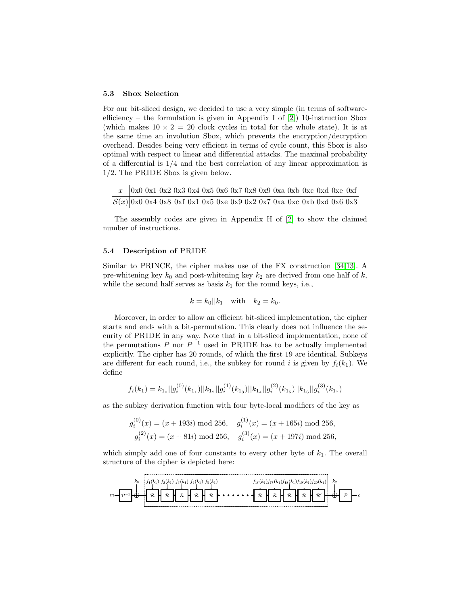#### 5.3 Sbox Selection

For our bit-sliced design, we decided to use a very simple (in terms of softwareefficiency – the formulation is given in Appendix I of  $[2]$ ) 10-instruction Sbox (which makes  $10 \times 2 = 20$  clock cycles in total for the whole state). It is at the same time an involution Sbox, which prevents the encryption/decryption overhead. Besides being very efficient in terms of cycle count, this Sbox is also optimal with respect to linear and differential attacks. The maximal probability of a differential is  $1/4$  and the best correlation of any linear approximation is 1/2. The PRIDE Sbox is given below.

 $x$   $\vert$  0x0 0x1 0x2 0x3 0x4 0x5 0x6 0x7 0x8 0x9 0xa 0xb 0xc 0xd 0xe 0xf  $\mathcal{S}(x) | 0\mathrm{x}{0}$  0x4 0x8 0xf 0x1 0x5 0xe 0x9 0x2 0x7 0xa 0xc 0xb 0xd 0x6 0x3

The assembly codes are given in Appendix H of [\[2\]](#page-17-1) to show the claimed number of instructions.

#### 5.4 Description of PRIDE

Similar to PRINCE, the cipher makes use of the FX construction [\[34,](#page-18-18)[13\]](#page-17-15). A pre-whitening key  $k_0$  and post-whitening key  $k_2$  are derived from one half of k, while the second half serves as basis  $k_1$  for the round keys, i.e.,

$$
k = k_0 || k_1 \quad \text{with} \quad k_2 = k_0.
$$

Moreover, in order to allow an efficient bit-sliced implementation, the cipher starts and ends with a bit-permutation. This clearly does not influence the security of PRIDE in any way. Note that in a bit-sliced implementation, none of the permutations  $P$  nor  $P^{-1}$  used in PRIDE has to be actually implemented explicitly. The cipher has 20 rounds, of which the first 19 are identical. Subkeys are different for each round, i.e., the subkey for round i is given by  $f_i(k_1)$ . We define

$$
f_i(k_1) = k_{1_0}||g_i^{(0)}(k_{1_1})||k_{1_2}||g_i^{(1)}(k_{1_3})||k_{1_4}||g_i^{(2)}(k_{1_5})||k_{1_6}||g_i^{(3)}(k_{1_7})
$$

as the subkey derivation function with four byte-local modifiers of the key as

$$
g_i^{(0)}(x) = (x + 193i) \mod 256
$$
,  $g_i^{(1)}(x) = (x + 165i) \mod 256$ ,  
\n $g_i^{(2)}(x) = (x + 81i) \mod 256$ ,  $g_i^{(3)}(x) = (x + 197i) \mod 256$ ,

which simply add one of four constants to every other byte of  $k_1$ . The overall structure of the cipher is depicted here:

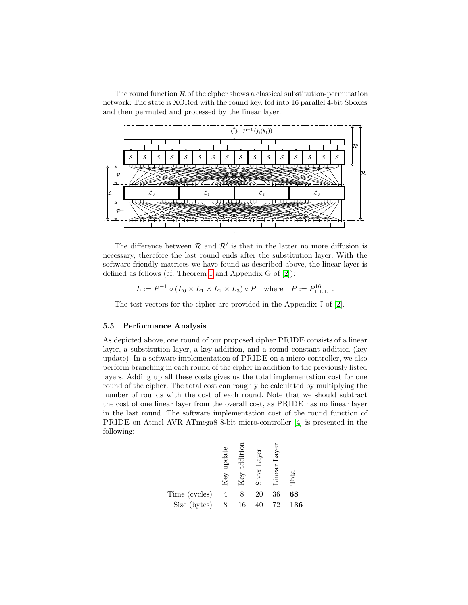The round function  $R$  of the cipher shows a classical substitution-permutation network: The state is XORed with the round key, fed into 16 parallel 4-bit Sboxes and then permuted and processed by the linear layer.



The difference between  $\mathcal R$  and  $\mathcal R'$  is that in the latter no more diffusion is necessary, therefore the last round ends after the substitution layer. With the software-friendly matrices we have found as described above, the linear layer is defined as follows (cf. Theorem [1](#page-6-1) and Appendix G of [\[2\]](#page-17-1)):

 $L := P^{-1} \circ (L_0 \times L_1 \times L_2 \times L_3) \circ P$  where  $P := P_{1,1,1,1}^{16}$ .

The test vectors for the cipher are provided in the Appendix J of [\[2\]](#page-17-1).

#### 5.5 Performance Analysis

As depicted above, one round of our proposed cipher PRIDE consists of a linear layer, a substitution layer, a key addition, and a round constant addition (key update). In a software implementation of PRIDE on a micro-controller, we also perform branching in each round of the cipher in addition to the previously listed layers. Adding up all these costs gives us the total implementation cost for one round of the cipher. The total cost can roughly be calculated by multiplying the number of rounds with the cost of each round. Note that we should subtract the cost of one linear layer from the overall cost, as PRIDE has no linear layer in the last round. The software implementation cost of the round function of PRIDE on Atmel AVR ATmega8 8-bit micro-controller [\[4\]](#page-17-12) is presented in the following:

|               | ₽<br>€ | additic<br>ି | āV | 능<br>S,<br>inear | otal |
|---------------|--------|--------------|----|------------------|------|
| Time (cycles) |        |              | 20 | 36               | 68   |
| Size (bytes)  |        | 16           |    | 72               | 136  |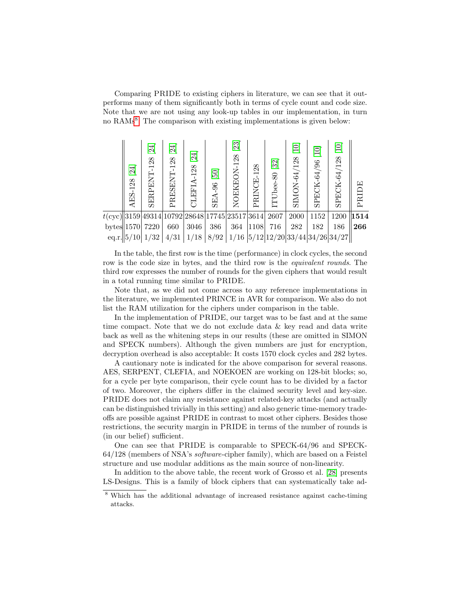Comparing PRIDE to existing ciphers in literature, we can see that it outperforms many of them significantly both in terms of cycle count and code size. Note that we are not using any look-up tables in our implementation, in turn no RAMs<sup>[8](#page-15-0)</sup>. The comparison with existing implementations is given below:

|                                                    | [24]<br>AES-128  | $[24]$<br>$T-128$<br><b>SERPEN</b> | [24]<br>PRESENT-128 | $\left[ 24\right]$<br>CLEFIA-128 | $[50]$<br>$SEAA-96$ | [23]<br><b>DN-128</b><br>NOEKE | 128<br>PRINCE- | $[32]$<br>80<br>ITUbee- | $[10]$<br>SIMON-64/128 | $\boxed{10}$<br>SPECK-64/96 | $[10]$<br>SPECK-64/128       | PRIDE |
|----------------------------------------------------|------------------|------------------------------------|---------------------|----------------------------------|---------------------|--------------------------------|----------------|-------------------------|------------------------|-----------------------------|------------------------------|-------|
| $t$ (cyc)  3159 49314 10792 28648 17745 23517 3614 |                  |                                    |                     |                                  |                     |                                |                | 2607                    | 2000                   | 1152                        | 1200                         | 1514  |
| bytes $ 1570 $                                     |                  | 7220                               | 660                 | 3046                             | 386                 | 364                            | 1108           | 716                     | 282                    | 182                         | 186                          | 266   |
|                                                    | $eq.r.$   $5/10$ | 1/32                               | 4/31                | 1/18                             | 8/92                | 1/16                           |                |                         |                        |                             | 5/12 12/20 33/44 34/26 34/27 |       |

In the table, the first row is the time (performance) in clock cycles, the second row is the code size in bytes, and the third row is the *equivalent rounds*. The third row expresses the number of rounds for the given ciphers that would result in a total running time similar to PRIDE.

Note that, as we did not come across to any reference implementations in the literature, we implemented PRINCE in AVR for comparison. We also do not list the RAM utilization for the ciphers under comparison in the table.

In the implementation of PRIDE, our target was to be fast and at the same time compact. Note that we do not exclude data  $\&$  key read and data write back as well as the whitening steps in our results (these are omitted in SIMON and SPECK numbers). Although the given numbers are just for encryption, decryption overhead is also acceptable: It costs 1570 clock cycles and 282 bytes.

A cautionary note is indicated for the above comparison for several reasons. AES, SERPENT, CLEFIA, and NOEKOEN are working on 128-bit blocks; so, for a cycle per byte comparison, their cycle count has to be divided by a factor of two. Moreover, the ciphers differ in the claimed security level and key-size. PRIDE does not claim any resistance against related-key attacks (and actually can be distinguished trivially in this setting) and also generic time-memory tradeoffs are possible against PRIDE in contrast to most other ciphers. Besides those restrictions, the security margin in PRIDE in terms of the number of rounds is (in our belief) sufficient.

One can see that PRIDE is comparable to SPECK-64/96 and SPECK-64/128 (members of NSA's software-cipher family), which are based on a Feistel structure and use modular additions as the main source of non-linearity.

In addition to the above table, the recent work of Grosso et al. [\[28\]](#page-18-13) presents LS-Designs. This is a family of block ciphers that can systematically take ad-

<span id="page-15-0"></span><sup>8</sup> Which has the additional advantage of increased resistance against cache-timing attacks.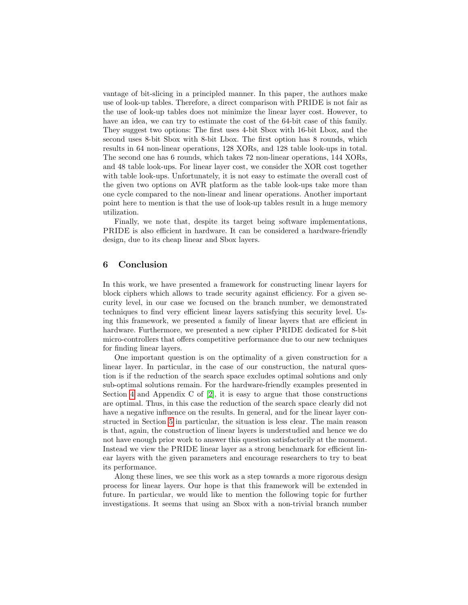vantage of bit-slicing in a principled manner. In this paper, the authors make use of look-up tables. Therefore, a direct comparison with PRIDE is not fair as the use of look-up tables does not minimize the linear layer cost. However, to have an idea, we can try to estimate the cost of the 64-bit case of this family. They suggest two options: The first uses 4-bit Sbox with 16-bit Lbox, and the second uses 8-bit Sbox with 8-bit Lbox. The first option has 8 rounds, which results in 64 non-linear operations, 128 XORs, and 128 table look-ups in total. The second one has 6 rounds, which takes 72 non-linear operations, 144 XORs, and 48 table look-ups. For linear layer cost, we consider the XOR cost together with table look-ups. Unfortunately, it is not easy to estimate the overall cost of the given two options on AVR platform as the table look-ups take more than one cycle compared to the non-linear and linear operations. Another important point here to mention is that the use of look-up tables result in a huge memory utilization.

Finally, we note that, despite its target being software implementations, PRIDE is also efficient in hardware. It can be considered a hardware-friendly design, due to its cheap linear and Sbox layers.

# <span id="page-16-0"></span>6 Conclusion

In this work, we have presented a framework for constructing linear layers for block ciphers which allows to trade security against efficiency. For a given security level, in our case we focused on the branch number, we demonstrated techniques to find very efficient linear layers satisfying this security level. Using this framework, we presented a family of linear layers that are efficient in hardware. Furthermore, we presented a new cipher PRIDE dedicated for 8-bit micro-controllers that offers competitive performance due to our new techniques for finding linear layers.

One important question is on the optimality of a given construction for a linear layer. In particular, in the case of our construction, the natural question is if the reduction of the search space excludes optimal solutions and only sub-optimal solutions remain. For the hardware-friendly examples presented in Section [4](#page-8-0) and Appendix C of  $[2]$ , it is easy to argue that those constructions are optimal. Thus, in this case the reduction of the search space clearly did not have a negative influence on the results. In general, and for the linear layer constructed in Section [5](#page-10-0) in particular, the situation is less clear. The main reason is that, again, the construction of linear layers is understudied and hence we do not have enough prior work to answer this question satisfactorily at the moment. Instead we view the PRIDE linear layer as a strong benchmark for efficient linear layers with the given parameters and encourage researchers to try to beat its performance.

Along these lines, we see this work as a step towards a more rigorous design process for linear layers. Our hope is that this framework will be extended in future. In particular, we would like to mention the following topic for further investigations. It seems that using an Sbox with a non-trivial branch number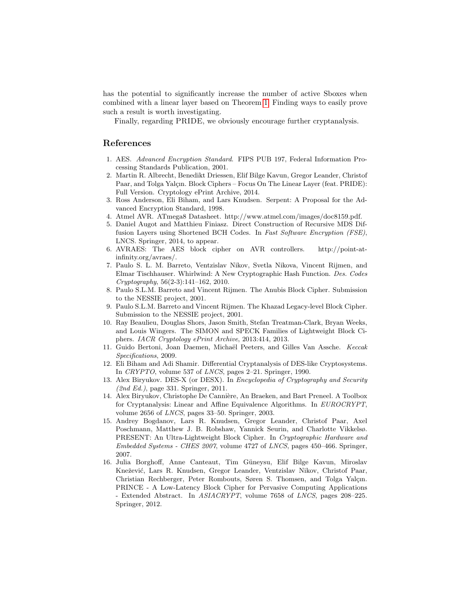has the potential to significantly increase the number of active Sboxes when combined with a linear layer based on Theorem [1.](#page-6-1) Finding ways to easily prove such a result is worth investigating.

Finally, regarding PRIDE, we obviously encourage further cryptanalysis.

# References

- <span id="page-17-0"></span>1. AES. Advanced Encryption Standard. FIPS PUB 197, Federal Information Processing Standards Publication, 2001.
- <span id="page-17-1"></span>2. Martin R. Albrecht, Benedikt Driessen, Elif Bilge Kavun, Gregor Leander, Christof Paar, and Tolga Yalçın. Block Ciphers – Focus On The Linear Layer (feat. PRIDE): Full Version. Cryptology ePrint Archive, 2014.
- <span id="page-17-4"></span>3. Ross Anderson, Eli Biham, and Lars Knudsen. Serpent: A Proposal for the Advanced Encryption Standard, 1998.
- <span id="page-17-12"></span>4. Atmel AVR. ATmega8 Datasheet. http://www.atmel.com/images/doc8159.pdf.
- <span id="page-17-9"></span>5. Daniel Augot and Matthieu Finiasz. Direct Construction of Recursive MDS Diffusion Layers using Shortened BCH Codes. In Fast Software Encryption (FSE), LNCS. Springer, 2014, to appear.
- <span id="page-17-14"></span>6. AVRAES: The AES block cipher on AVR controllers. http://point-atinfinity.org/avraes/.
- <span id="page-17-11"></span>7. Paulo S. L. M. Barreto, Ventzislav Nikov, Svetla Nikova, Vincent Rijmen, and Elmar Tischhauser. Whirlwind: A New Cryptographic Hash Function. Des. Codes Cryptography, 56(2-3):141–162, 2010.
- <span id="page-17-7"></span>8. Paulo S.L.M. Barreto and Vincent Rijmen. The Anubis Block Cipher. Submission to the NESSIE project, 2001.
- <span id="page-17-6"></span>9. Paulo S.L.M. Barreto and Vincent Rijmen. The Khazad Legacy-level Block Cipher. Submission to the NESSIE project, 2001.
- <span id="page-17-10"></span>10. Ray Beaulieu, Douglas Shors, Jason Smith, Stefan Treatman-Clark, Bryan Weeks, and Louis Wingers. The SIMON and SPECK Families of Lightweight Block Ciphers. IACR Cryptology ePrint Archive, 2013:414, 2013.
- <span id="page-17-2"></span>11. Guido Bertoni, Joan Daemen, Michaël Peeters, and Gilles Van Assche. Keccak Specifications, 2009.
- <span id="page-17-5"></span>12. Eli Biham and Adi Shamir. Differential Cryptanalysis of DES-like Cryptosystems. In CRYPTO, volume 537 of LNCS, pages 2–21. Springer, 1990.
- <span id="page-17-15"></span>13. Alex Biryukov. DES-X (or DESX). In Encyclopedia of Cryptography and Security  $(2nd Ed.),$  page 331. Springer, 2011.
- <span id="page-17-3"></span>14. Alex Biryukov, Christophe De Cannière, An Braeken, and Bart Preneel. A Toolbox for Cryptanalysis: Linear and Affine Equivalence Algorithms. In EUROCRYPT, volume 2656 of LNCS, pages 33–50. Springer, 2003.
- <span id="page-17-13"></span>15. Andrey Bogdanov, Lars R. Knudsen, Gregor Leander, Christof Paar, Axel Poschmann, Matthew J. B. Robshaw, Yannick Seurin, and Charlotte Vikkelsø. PRESENT: An Ultra-Lightweight Block Cipher. In Cryptographic Hardware and Embedded Systems - CHES 2007, volume 4727 of LNCS, pages 450–466. Springer, 2007.
- <span id="page-17-8"></span>16. Julia Borghoff, Anne Canteaut, Tim Güneysu, Elif Bilge Kavun, Miroslav Knežević, Lars R. Knudsen, Gregor Leander, Ventzislav Nikov, Christof Paar, Christian Rechberger, Peter Rombouts, Søren S. Thomsen, and Tolga Yalçın. PRINCE - A Low-Latency Block Cipher for Pervasive Computing Applications - Extended Abstract. In ASIACRYPT, volume 7658 of LNCS, pages 208–225. Springer, 2012.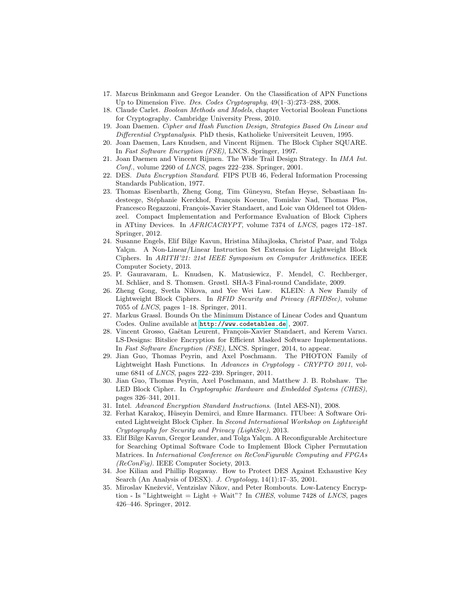- <span id="page-18-2"></span>17. Marcus Brinkmann and Gregor Leander. On the Classification of APN Functions Up to Dimension Five. Des. Codes Cryptography,  $49(1-3):273-288$ , 2008.
- <span id="page-18-3"></span>18. Claude Carlet. Boolean Methods and Models, chapter Vectorial Boolean Functions for Cryptography. Cambridge University Press, 2010.
- <span id="page-18-4"></span>19. Joan Daemen. Cipher and Hash Function Design, Strategies Based On Linear and Differential Cryptanalysis. PhD thesis, Katholieke Universiteit Leuven, 1995.
- <span id="page-18-0"></span>20. Joan Daemen, Lars Knudsen, and Vincent Rijmen. The Block Cipher SQUARE. In Fast Software Encryption (FSE), LNCS. Springer, 1997.
- <span id="page-18-5"></span>21. Joan Daemen and Vincent Rijmen. The Wide Trail Design Strategy. In IMA Int. Conf., volume  $2260$  of LNCS, pages  $222-238$ . Springer,  $2001$ .
- <span id="page-18-1"></span>22. DES. Data Encryption Standard. FIPS PUB 46, Federal Information Processing Standards Publication, 1977.
- <span id="page-18-17"></span>23. Thomas Eisenbarth, Zheng Gong, Tim G¨uneysu, Stefan Heyse, Sebastiaan Indesteege, Stéphanie Kerckhof, François Koeune, Tomislav Nad, Thomas Plos, Francesco Regazzoni, François-Xavier Standaert, and Loic van Oldeneel tot Oldenzeel. Compact Implementation and Performance Evaluation of Block Ciphers in ATtiny Devices. In AFRICACRYPT, volume 7374 of LNCS, pages 172–187. Springer, 2012.
- <span id="page-18-16"></span>24. Susanne Engels, Elif Bilge Kavun, Hristina Mihajloska, Christof Paar, and Tolga Yalçın. A Non-Linear/Linear Instruction Set Extension for Lightweight Block Ciphers. In ARITH'21: 21st IEEE Symposium on Computer Arithmetics. IEEE Computer Society, 2013.
- <span id="page-18-6"></span>25. P. Gauravaram, L. Knudsen, K. Matusiewicz, F. Mendel, C. Rechberger, M. Schläer, and S. Thomsen. Grøstl. SHA-3 Final-round Candidate, 2009.
- <span id="page-18-10"></span>26. Zheng Gong, Svetla Nikova, and Yee Wei Law. KLEIN: A New Family of Lightweight Block Ciphers. In RFID Security and Privacy (RFIDSec), volume 7055 of LNCS, pages 1–18. Springer, 2011.
- <span id="page-18-14"></span>27. Markus Grassl. Bounds On the Minimum Distance of Linear Codes and Quantum Codes. Online available at <http://www.codetables.de> , 2007.
- <span id="page-18-13"></span>28. Vincent Grosso, Gaëtan Leurent, François-Xavier Standaert, and Kerem Varıcı. LS-Designs: Bitslice Encryption for Efficient Masked Software Implementations. In Fast Software Encryption (FSE), LNCS. Springer, 2014, to appear.
- <span id="page-18-7"></span>29. Jian Guo, Thomas Peyrin, and Axel Poschmann. The PHOTON Family of Lightweight Hash Functions. In Advances in Cryptology - CRYPTO 2011, volume 6841 of LNCS, pages 222–239. Springer, 2011.
- <span id="page-18-8"></span>30. Jian Guo, Thomas Peyrin, Axel Poschmann, and Matthew J. B. Robshaw. The LED Block Cipher. In Cryptographic Hardware and Embedded Systems (CHES), pages 326–341, 2011.
- <span id="page-18-9"></span>31. Intel. Advanced Encryption Standard Instructions. (Intel AES-NI), 2008.
- <span id="page-18-11"></span>32. Ferhat Karakoç, Hüseyin Demirci, and Emre Harmancı. ITUbee: A Software Oriented Lightweight Block Cipher. In Second International Workshop on Lightweight Cryptography for Security and Privacy (LightSec), 2013.
- <span id="page-18-15"></span>33. Elif Bilge Kavun, Gregor Leander, and Tolga Yalçın. A Reconfigurable Architecture for Searching Optimal Software Code to Implement Block Cipher Permutation Matrices. In International Conference on ReConFigurable Computing and FPGAs  $(ReConFig).$  IEEE Computer Society, 2013.
- <span id="page-18-18"></span>34. Joe Kilian and Phillip Rogaway. How to Protect DES Against Exhaustive Key Search (An Analysis of DESX). J. Cryptology, 14(1):17–35, 2001.
- <span id="page-18-12"></span>35. Miroslav Knežević, Ventzislav Nikov, and Peter Rombouts. Low-Latency Encryption - Is "Lightweight  $=$  Light  $+$  Wait"? In CHES, volume 7428 of LNCS, pages 426–446. Springer, 2012.